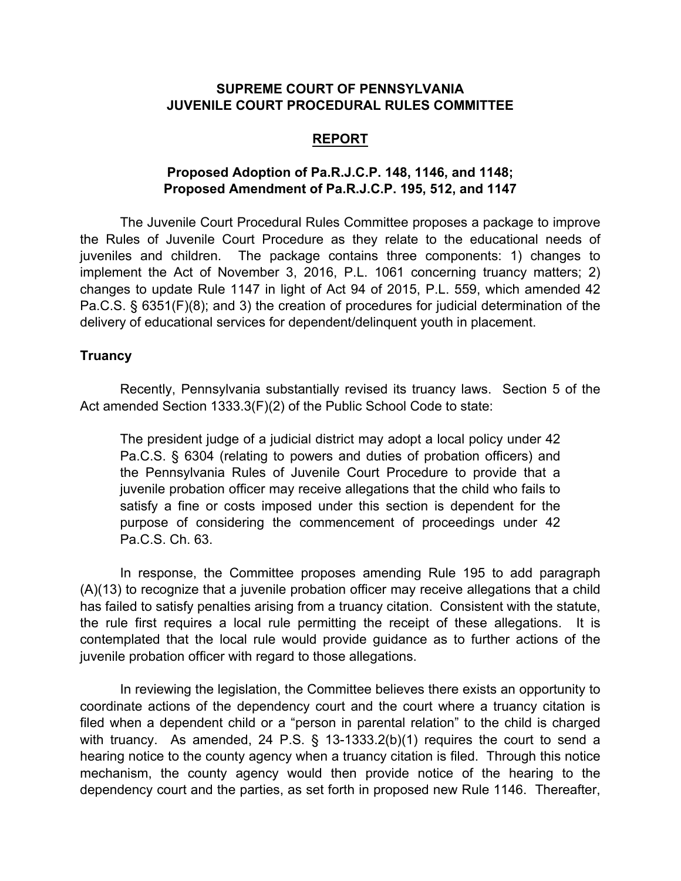#### **SUPREME COURT OF PENNSYLVANIA JUVENILE COURT PROCEDURAL RULES COMMITTEE**

#### **REPORT**

# **Proposed Adoption of Pa.R.J.C.P. 148, 1146, and 1148; Proposed Amendment of Pa.R.J.C.P. 195, 512, and 1147**

The Juvenile Court Procedural Rules Committee proposes a package to improve the Rules of Juvenile Court Procedure as they relate to the educational needs of juveniles and children. The package contains three components: 1) changes to implement the Act of November 3, 2016, P.L. 1061 concerning truancy matters; 2) changes to update Rule 1147 in light of Act 94 of 2015, P.L. 559, which amended 42 Pa.C.S. § 6351(F)(8); and 3) the creation of procedures for judicial determination of the delivery of educational services for dependent/delinquent youth in placement.

#### **Truancy**

Recently, Pennsylvania substantially revised its truancy laws. Section 5 of the Act amended Section 1333.3(F)(2) of the Public School Code to state:

The president judge of a judicial district may adopt a local policy under 42 Pa.C.S. § 6304 (relating to powers and duties of probation officers) and the Pennsylvania Rules of Juvenile Court Procedure to provide that a juvenile probation officer may receive allegations that the child who fails to satisfy a fine or costs imposed under this section is dependent for the purpose of considering the commencement of proceedings under 42 Pa.C.S. Ch. 63.

In response, the Committee proposes amending Rule 195 to add paragraph (A)(13) to recognize that a juvenile probation officer may receive allegations that a child has failed to satisfy penalties arising from a truancy citation. Consistent with the statute, the rule first requires a local rule permitting the receipt of these allegations. It is contemplated that the local rule would provide guidance as to further actions of the juvenile probation officer with regard to those allegations.

In reviewing the legislation, the Committee believes there exists an opportunity to coordinate actions of the dependency court and the court where a truancy citation is filed when a dependent child or a "person in parental relation" to the child is charged with truancy. As amended, 24 P.S. § 13-1333.2(b)(1) requires the court to send a hearing notice to the county agency when a truancy citation is filed. Through this notice mechanism, the county agency would then provide notice of the hearing to the dependency court and the parties, as set forth in proposed new Rule 1146. Thereafter,